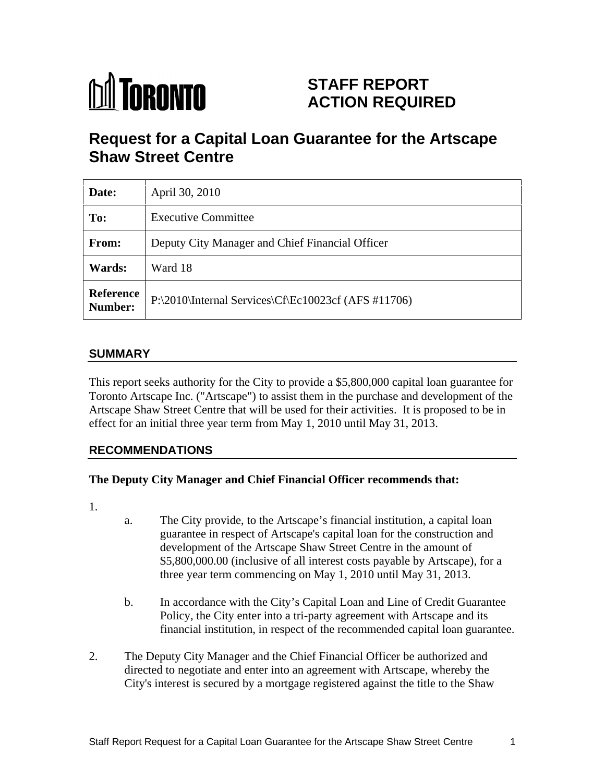# **M** TORONTO

## **STAFF REPORT ACTION REQUIRED**

# **Request for a Capital Loan Guarantee for the Artscape Shaw Street Centre**

| Date:                | April 30, 2010                                      |
|----------------------|-----------------------------------------------------|
| To:                  | <b>Executive Committee</b>                          |
| From:                | Deputy City Manager and Chief Financial Officer     |
| <b>Wards:</b>        | Ward 18                                             |
| Reference<br>Number: | P:\2010\Internal Services\Cf\Ec10023cf (AFS #11706) |

#### **SUMMARY**

This report seeks authority for the City to provide a \$5,800,000 capital loan guarantee for Toronto Artscape Inc. ("Artscape") to assist them in the purchase and development of the Artscape Shaw Street Centre that will be used for their activities. It is proposed to be in effect for an initial three year term from May 1, 2010 until May 31, 2013.

#### **RECOMMENDATIONS**

#### **The Deputy City Manager and Chief Financial Officer recommends that:**

- 1.
	- a. The City provide, to the Artscape's financial institution, a capital loan guarantee in respect of Artscape's capital loan for the construction and development of the Artscape Shaw Street Centre in the amount of \$5,800,000.00 (inclusive of all interest costs payable by Artscape), for a three year term commencing on May 1, 2010 until May 31, 2013.
	- b. In accordance with the City's Capital Loan and Line of Credit Guarantee Policy, the City enter into a tri-party agreement with Artscape and its financial institution, in respect of the recommended capital loan guarantee.
- 2. The Deputy City Manager and the Chief Financial Officer be authorized and directed to negotiate and enter into an agreement with Artscape, whereby the City's interest is secured by a mortgage registered against the title to the Shaw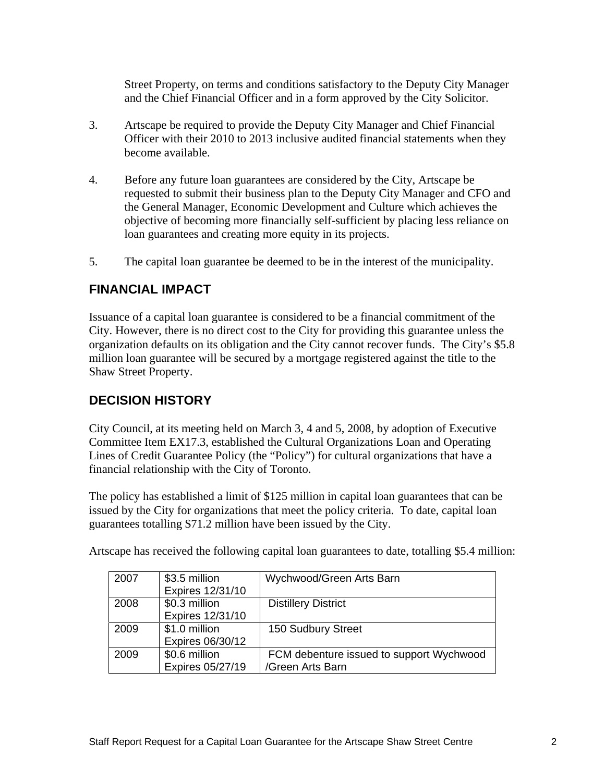Street Property, on terms and conditions satisfactory to the Deputy City Manager

- and the Chief Financial Officer and in a form approved by the City Solicitor. 3. Artscape be required to provide the Deputy City Manager and Chief Financial Officer with their 2010 to 2013 inclusive audited financial statements when they become available.
- 4. Before any future loan guarantees are considered by the City, Artscape be requested to submit their business plan to the Deputy City Manager and CFO and the General Manager, Economic Development and Culture which achieves the objective of becoming more financially self-sufficient by placing less reliance on loan guarantees and creating more equity in its projects. 5. The capital loan guarantee be deemed to be in the interest of the municipality.
- 

## **FINANCIAL IMPACT**

Issuance of a capital loan guarantee is considered to be a financial commitment of the City. However, there is no direct cost to the City for providing this guarantee unless the organization defaults on its obligation and the City cannot recover funds. The City's \$5.8 million loan guarantee will be secured by a mortgage registered against the title to the Shaw Street Property.

## **DECISION HISTORY**

City Council, at its meeting held on March 3, 4 and 5, 2008, by adoption of Executive Committee Item EX17.3, established the Cultural Organizations Loan and Operating Lines of Credit Guarantee Policy (the "Policy") for cultural organizations that have a financial relationship with the City of Toronto.

The policy has established a limit of \$125 million in capital loan guarantees that can be issued by the City for organizations that meet the policy criteria. To date, capital loan guarantees totalling \$71.2 million have been issued by the City.

| 2007  | \$3.5 million               | Wychwood/Green Arts Barn                 |
|-------|-----------------------------|------------------------------------------|
|       | Expires 12/31/10            |                                          |
| 2008  | \$0.3 million               | <b>Distillery District</b>               |
|       | Expires 12/31/10            |                                          |
| 2009  | $\frac{1}{2}$ \$1.0 million | 150 Sudbury Street                       |
|       | Expires 06/30/12            |                                          |
| 12009 | \$0.6 million               | FCM debenture issued to support Wychwood |
|       | <b>Expires 05/27/19</b>     | /Green Arts Barn                         |

Artscape has received the following capital loan guarantees to date, totalling \$5.4 million: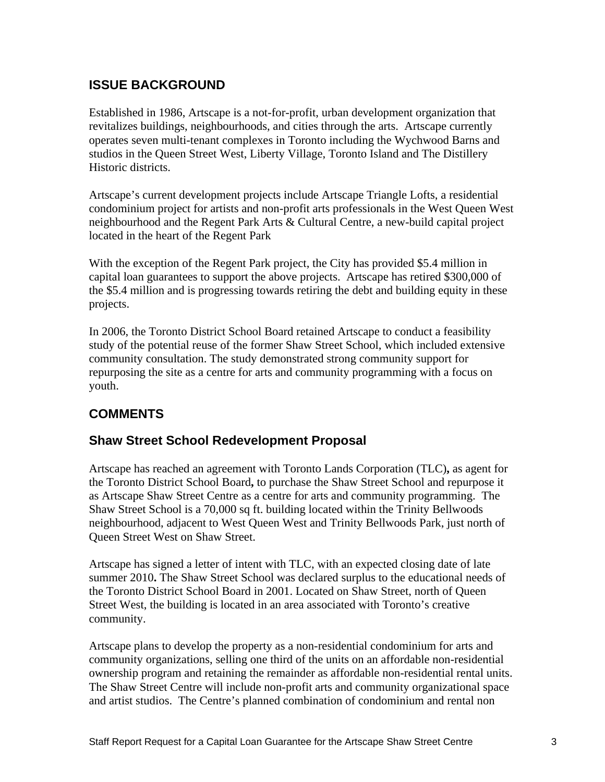## **ISSUE BACKGROUND**

Established in 1986, Artscape is a not-for-profit, urban development organization that revitalizes buildings, neighbourhoods, and cities through the arts. Artscape currently operates seven multi-tenant complexes in Toronto including the Wychwood Barns and studios in the Queen Street West, Liberty Village, Toronto Island and The Distillery Historic districts.

Artscape's current development projects include Artscape Triangle Lofts, a residential condominium project for artists and non-profit arts professionals in the West Queen West neighbourhood and the Regent Park Arts & Cultural Centre, a new-build capital project located in the heart of the Regent Park

With the exception of the Regent Park project, the City has provided \$5.4 million in capital loan guarantees to support the above projects. Artscape has retired \$300,000 of the \$5.4 million and is progressing towards retiring the debt and building equity in these projects.

In 2006, the Toronto District School Board retained Artscape to conduct a feasibility study of the potential reuse of the former Shaw Street School, which included extensive community consultation. The study demonstrated strong community support for repurposing the site as a centre for arts and community programming with a focus on youth.

## **COMMENTS**

#### **Shaw Street School Redevelopment Proposal**

Artscape has reached an agreement with Toronto Lands Corporation (TLC)**,** as agent for the Toronto District School Board**,** to purchase the Shaw Street School and repurpose it as Artscape Shaw Street Centre as a centre for arts and community programming. The Shaw Street School is a 70,000 sq ft. building located within the Trinity Bellwoods neighbourhood, adjacent to West Queen West and Trinity Bellwoods Park, just north of Queen Street West on Shaw Street.

Artscape has signed a letter of intent with TLC, with an expected closing date of late summer 2010**.** The Shaw Street School was declared surplus to the educational needs of the Toronto District School Board in 2001. Located on Shaw Street, north of Queen Street West, the building is located in an area associated with Toronto's creative community. Artscape plans to develop the property as a non-residential condominium for arts and

community organizations, selling one third of the units on an affordable non-residential ownership program and retaining the remainder as affordable non-residential rental units. The Shaw Street Centre will include non-profit arts and community organizational space and artist studios. The Centre's planned combination of condominium and rental non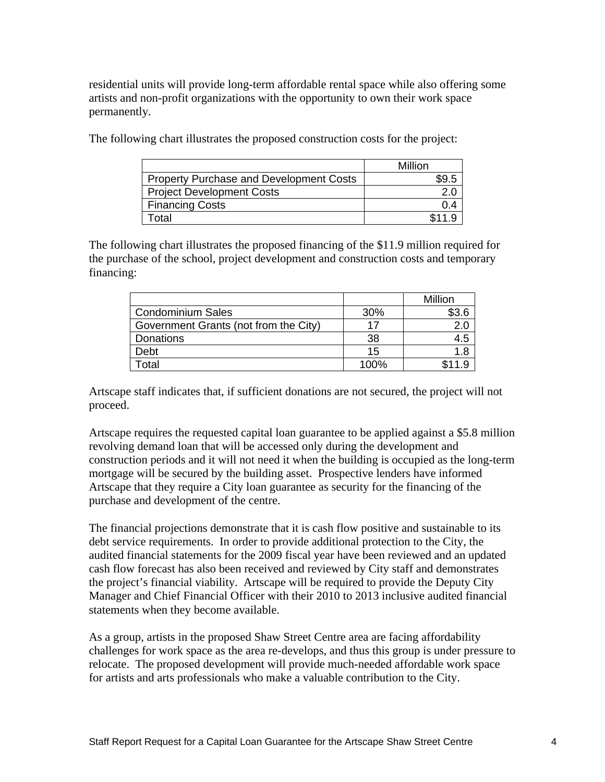residential units will provide long-term affordable rental space while also offering some artists and non-profit organizations with the opportunity to own their work space permanently.

|                                                | Million<br>$\cdots$ |
|------------------------------------------------|---------------------|
| <b>Property Purchase and Development Costs</b> | \$9.5               |
| <b>Project Development Costs</b>               | ח י                 |
| <b>Financing Costs</b>                         |                     |
| Total                                          | 111 O<br>.          |

The following chart illustrates the proposed construction costs for the project:

The following chart illustrates the proposed financing of the \$11.9 million required for the purchase of the school, project development and construction costs and temporary financing: the contract of the contract of the contract of the contract of the contract of the contract of the contract of the contract of the contract of the contract of the contract of the contract of the contract of the

|                                                                                                                      |                                                                                                                                 | $M:II: \sim \infty$ |
|----------------------------------------------------------------------------------------------------------------------|---------------------------------------------------------------------------------------------------------------------------------|---------------------|
| Jondominium                                                                                                          | $\sim$ $\sim$ $\sim$                                                                                                            | $\sim$ 15 m         |
| Government Grants (not from the C<br>the contract of the contract of the contract of the contract of the contract of | 47<br>the contract of the contract of the contract of the contract of the contract of                                           |                     |
| <b>Donations</b>                                                                                                     |                                                                                                                                 |                     |
|                                                                                                                      |                                                                                                                                 |                     |
| i Olal                                                                                                               | $\sqrt{200}$<br>the contract of the contract of the contract of the contract of the contract of the contract of the contract of | <b>CIIO</b>         |

 Artscape staff indicates that, if sufficient donations are not secured, the project will not proceed. The contract of the contract of the contract of the contract of the contract of the contract of the contract of the contract of the contract of the contract of the contract of the contract of the contract of the c

Artscape requires the requested capital loan guarantee to be applied against a \$5.8 million revolving demand loan that will be accessed only during the development and construction periods and it will not need it when the building is occupied as the long-term mortgage will be secured by the building asset. Prospective lenders have informed Artscape that they require a City loan guarantee as security for the financing of the purchase and development of the centre.<br>The financial projections demonstrate that it is cash flow positive and sustainable to its

debt service requirements. In order to provide additional protection to the City, the audited financial statements for the 2009 fiscal year have been reviewed and an updated cash flow forecast has also been received and reviewed by City staff and demonstrates the project's financial viability. Artscape will be required to provide the Deputy City Manager and Chief Financial Officer with their 2010 to 2013 inclusive audited financial statements when they become available.

As a group, artists in the proposed Shaw Street Centre area are facing affordability challenges for work space as the area re-develops, and thus this group is under pressure to relocate. The proposed development will provide much-needed affordable work space for artists and arts professionals who make a valuable contribution to the City.